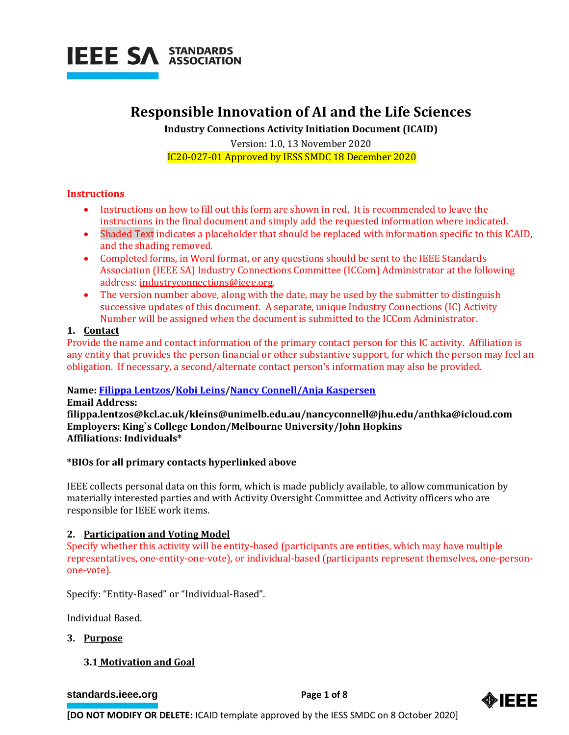

# **Responsible Innovation of AI and the Life Sciences**

**Industry Connections Activity Initiation Document (ICAID)**

Version: 1.0, 13 November 2020 IC20-027-01 Approved by IESS SMDC 18 December 2020

### **Instructions**

- Instructions on how to fill out this form are shown in red. It is recommended to leave the instructions in the final document and simply add the requested information where indicated.
- Shaded Text indicates a placeholder that should be replaced with information specific to this ICAID, and the shading removed.
- Completed forms, in Word format, or any questions should be sent to the IEEE Standards Association (IEEE SA) Industry Connections Committee (ICCom) Administrator at the following address: [industryconnections@ieee.org.](mailto:industryconnections@ieee.org)
- The version number above, along with the date, may be used by the submitter to distinguish successive updates of this document. A separate, unique Industry Connections (IC) Activity Number will be assigned when the document is submitted to the ICCom Administrator.

### **1. Contact**

Provide the name and contact information of the primary contact person for this IC activity. Affiliation is any entity that provides the person financial or other substantive support, for which the person may feel an obligation. If necessary, a second/alternate contact person's information may also be provided.

# **Name[: Filippa Lentzos/](https://www.filippalentzos.com/)[Kobi Leins](https://www.science.org.au/covid19/experts/kobi-leins)[/Nancy Connell/](https://homelandprepnews.com/stories/31696-connell-of-the-national-science-advisory-board-for-biosecurity-speaks-about-the-future-of-biosecurity-research-ethics/)[Anja Kaspersen](https://www.carnegiecouncil.org/people/anja-kaspersen)**

**Email Address: filippa.lentzos@kcl.ac.uk/kleins@unimelb.edu.au/nancyconnell@jhu.edu/anthka@icloud.com Employers: King`s College London/Melbourne University/John Hopkins Affiliations: Individuals\***

# **\*BIOs for all primary contacts hyperlinked above**

IEEE collects personal data on this form, which is made publicly available, to allow communication by materially interested parties and with Activity Oversight Committee and Activity officers who are responsible for IEEE work items.

# **2. Participation and Voting Model**

Specify whether this activity will be entity-based (participants are entities, which may have multiple representatives, one-entity-one-vote), or individual-based (participants represent themselves, one-personone-vote).

Specify: "Entity-Based" or "Individual-Based".

Individual Based.

### **3. Purpose**

# **3.1 Motivation and Goal**

**[standards.ieee.org](http://standards.ieee.org/) example 2 Page 1** of 8

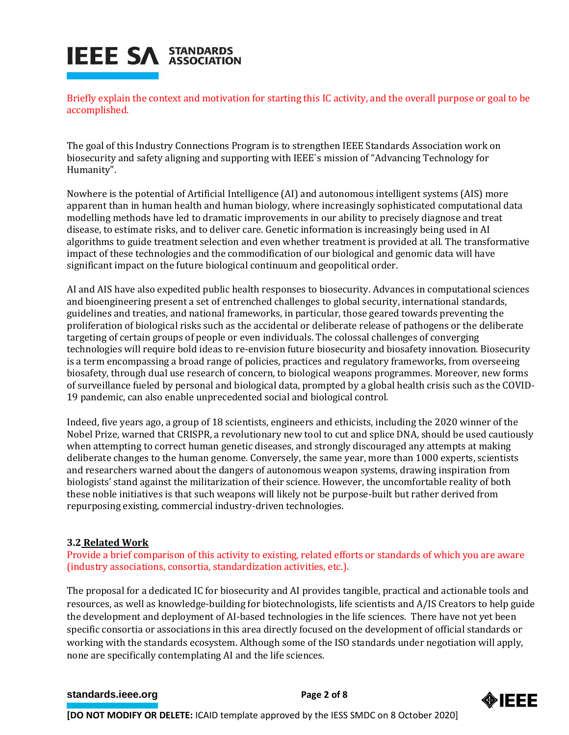Briefly explain the context and motivation for starting this IC activity, and the overall purpose or goal to be accomplished.

The goal of this Industry Connections Program is to strengthen IEEE Standards Association work on biosecurity and safety aligning and supporting with IEEE`s mission of "Advancing Technology for Humanity".

Nowhere is the potential of Artificial Intelligence (AI) and autonomous intelligent systems (AIS) more apparent than in human health and human biology, where increasingly sophisticated computational data modelling methods have led to dramatic improvements in our ability to precisely diagnose and treat disease, to estimate risks, and to deliver care. Genetic information is increasingly being used in AI algorithms to guide treatment selection and even whether treatment is provided at all. The transformative impact of these technologies and the commodification of our biological and genomic data will have significant impact on the future biological continuum and geopolitical order.

AI and AIS have also expedited public health responses to biosecurity. Advances in computational sciences and bioengineering present a set of entrenched challenges to global security, international standards, guidelines and treaties, and national frameworks, in particular, those geared towards preventing the proliferation of biological risks such as the accidental or deliberate release of pathogens or the deliberate targeting of certain groups of people or even individuals. The colossal challenges of converging technologies will require bold ideas to re-envision future biosecurity and biosafety innovation. Biosecurity is a term encompassing a broad range of policies, practices and regulatory frameworks, from overseeing biosafety, through dual use research of concern, to biological weapons programmes. Moreover, new forms of surveillance fueled by personal and biological data, prompted by a global health crisis such as the COVID-19 pandemic, can also enable unprecedented social and biological control.

Indeed, five years ago, a group of 18 scientists, engineers and ethicists, including the 2020 winner of the Nobel Prize, warned that CRISPR, a revolutionary new tool to cut and splice DNA, should be used cautiously when attempting to correct human genetic diseases, and strongly discouraged any attempts at making deliberate changes to the human genome. Conversely, the same year, more than 1000 experts, scientists and researchers warned about the dangers of autonomous weapon systems, drawing inspiration from biologists' stand against the militarization of their science. However, the uncomfortable reality of both these noble initiatives is that such weapons will likely not be purpose-built but rather derived from repurposing existing, commercial industry-driven technologies.

# **3.2 Related Work**

Provide a brief comparison of this activity to existing, related efforts or standards of which you are aware (industry associations, consortia, standardization activities, etc.).

The proposal for a dedicated IC for biosecurity and AI provides tangible, practical and actionable tools and resources, as well as knowledge-building for biotechnologists, life scientists and A/IS Creators to help guide the development and deployment of AI-based technologies in the life sciences. There have not yet been specific consortia or associations in this area directly focused on the development of official standards or working with the standards ecosystem. Although some of the ISO standards under negotiation will apply, none are specifically contemplating AI and the life sciences.

### **[standards.ieee.org](http://standards.ieee.org/)**<br> **Page 2 of 8**



**[DO NOT MODIFY OR DELETE:** ICAID template approved by the IESS SMDC on 8 October 2020]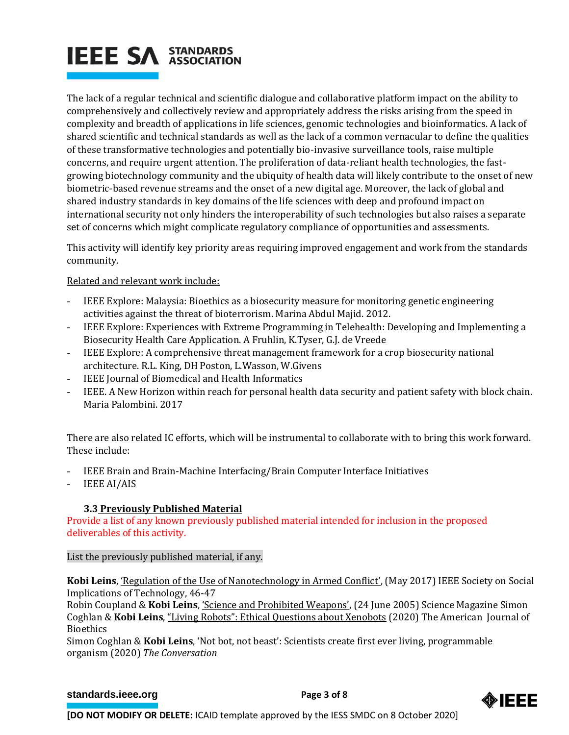The lack of a regular technical and scientific dialogue and collaborative platform impact on the ability to comprehensively and collectively review and appropriately address the risks arising from the speed in complexity and breadth of applications in life sciences, genomic technologies and bioinformatics. A lack of shared scientific and technical standards as well as the lack of a common vernacular to define the qualities of these transformative technologies and potentially bio-invasive surveillance tools, raise multiple concerns, and require urgent attention. The proliferation of data-reliant health technologies, the fastgrowing biotechnology community and the ubiquity of health data will likely contribute to the onset of new biometric-based revenue streams and the onset of a new digital age. Moreover, the lack of global and shared industry standards in key domains of the life sciences with deep and profound impact on international security not only hinders the interoperability of such technologies but also raises a separate set of concerns which might complicate regulatory compliance of opportunities and assessments.

This activity will identify key priority areas requiring improved engagement and work from the standards community.

# Related and relevant work include:

- IEEE Explore: Malaysia: Bioethics as a biosecurity measure for monitoring genetic engineering activities against the threat of bioterrorism. Marina Abdul Majid. 2012.
- IEEE Explore: Experiences with Extreme Programming in Telehealth: Developing and Implementing a Biosecurity Health Care Application. A Fruhlin, K.Tyser, G.J. de Vreede
- IEEE Explore: A comprehensive threat management framework for a crop biosecurity national architecture. R.L. King, DH Poston, L.Wasson, W.Givens
- IEEE Journal of Biomedical and Health Informatics
- IEEE. A New Horizon within reach for personal health data security and patient safety with block chain. Maria Palombini. 2017

There are also related IC efforts, which will be instrumental to collaborate with to bring this work forward. These include:

- IEEE Brain and Brain-Machine Interfacing/Brain Computer Interface Initiatives
- IEEE AI/AIS

# **3.3 Previously Published Material**

Provide a list of any known previously published material intended for inclusion in the proposed deliverables of this activity.

List the previously published material, if any.

**Kobi Leins**, ['Regulation of the Use of Nanotechnology in Armed Conflict'](http://ieeexplore.ieee.org/document/7879459/), (May 2017) IEEE Society on Social Implications of Technology, 46-47

Robin Coupland & **Kobi Leins**, ['Science and Prohibited Weapons'](http://science.sciencemag.org/content/308/5730/1841/tab-pdf), (24 June 2005) Science Magazine Simon Coghlan & **Kobi Leins**, ["Living Robots": Ethical Questions about Xenobots](https://www.tandfonline.com/doi/citedby/10.1080/15265161.2020.1746102?scroll=top&needAccess=true&) (2020) The American Journal of Bioethics

Simon Coghlan & **Kobi Leins**, ['Not bot, not beast': Scientists create first ever living, programmable](https://phys.org/news/2020-01-bot-beast-scientists-programmable.html)  [organism](https://phys.org/news/2020-01-bot-beast-scientists-programmable.html) (2020) *The Conversation*

### **[standards.ieee.org](http://standards.ieee.org/)**<br> **Page 3 of 8**



**[DO NOT MODIFY OR DELETE:** ICAID template approved by the IESS SMDC on 8 October 2020]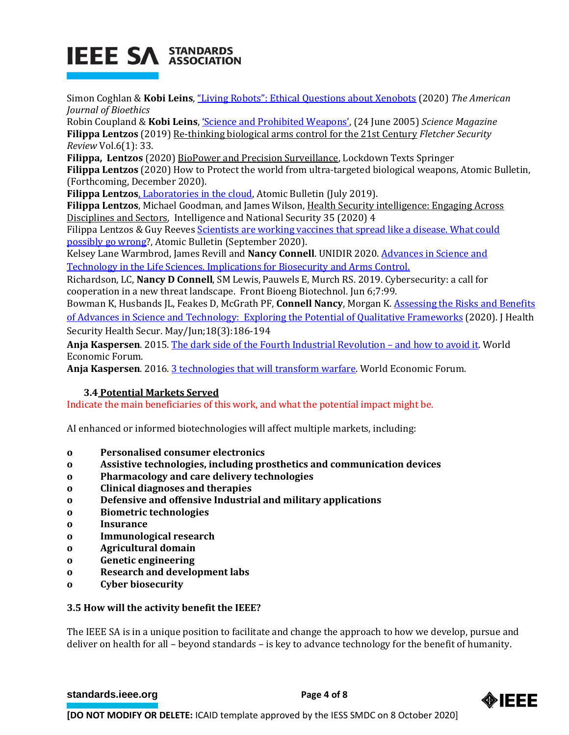Simon Coghlan & **Kobi Leins**, ["Living Robots": Ethical Questions about Xenobots](https://www.tandfonline.com/doi/citedby/10.1080/15265161.2020.1746102?scroll=top&needAccess=true&) (2020) *The American Journal of Bioethics*

Robin Coupland & **Kobi Leins**, ['Science and Prohibited Weapons'](http://science.sciencemag.org/content/308/5730/1841/tab-pdf), (24 June 2005) *Science Magazine* **Filippa Lentzos** (2019) [Re-thinking biological arms control for the 21st Century](https://docs.wixstatic.com/ugd/c28a64_40c33df0dea8425db1fdb313f49d2310.pdf) *Fletcher Security Review* Vol.6(1): 33.

**Filippa, Lentzos** (2020[\) BioPower and Precision Surveillance,](https://link.springer.com/epdf/10.1057/s41292-020-00199-0?sharing_token=bSL2DTrJPbOZj6uxat5gCFxOt48VBPO10Uv7D6sAgHu00V_FjbVoHr1q7n3TTihEb_Lo1aWGAkH5GumUatdYL4sOlZ7RNGWXmDdMj-0HMZW07sCpk7TT44QxKglkvpR3QQ__EtavqGjJ3_gOuiTsR4V_9qeIBK0u2wCDpGHH79QtPLVxMRHqTOVguC8hnLnY) Lockdown Texts Springer **Filippa Lentzos** (2020) How to Protect the world from ultra-targeted biological weapons, Atomic Bulletin,

(Forthcoming, December 2020).

**Filippa Lentzos**[, Laboratories in the cloud,](https://thebulletin.org/2019/07/laboratories-in-the-cloud/) Atomic Bulletin (July 2019).

**Filippa Lentzos**, Michael Goodman, and James Wilson[, Health Security intelligence: Engaging Across](https://www.tandfonline.com/doi/full/10.1080/02684527.2020.1750166)  [Disciplines and Sectors,](https://www.tandfonline.com/doi/full/10.1080/02684527.2020.1750166) Intelligence and National Security 35 (2020) 4

Filippa Lentzos & Guy Reeves Scientists are working vaccines that spread like a disease. What could [possibly go wrong?](https://thebulletin.org/2020/09/scientists-are-working-on-vaccines-that-spread-like-a-disease-what-could-possibly-go-wrong/), Atomic Bulletin (September 2020).

Kelsey Lane Warmbrod, James Revill and **Nancy Connell**. UNIDIR 2020[. Advances in Science and](https://unidir.org/publication/advances-science-and-technology-life-sciences)  [Technology in the Life Sciences. Implications for Biosecurity and Arms Control.](https://unidir.org/publication/advances-science-and-technology-life-sciences)

Richardson, LC, **Nancy D Connell**, SM Lewis, Pauwels E, Murch RS. 2019. Cybersecurity: a call for cooperation in a new threat landscape. Front Bioeng Biotechnol. Jun 6;7:99.

Bowman K, Husbands JL, Feakes D, McGrath PF, **Connell Nancy**, Morgan K. [Assessing the Risks and Benefits](https://www.interacademies.org/publication/assessing-risks-and-benefits-advances-science-and-technology-exploring-potential)  [of Advances in Science and Technology: Exploring the Potential of Qualitative Frameworks](https://www.interacademies.org/publication/assessing-risks-and-benefits-advances-science-and-technology-exploring-potential) (2020). J Health Security Health Secur. May/Jun;18(3):186-194

**Anja Kaspersen**. 2015[. The dark side of the Fourth Industrial Revolution](https://www.weforum.org/agenda/2015/11/the-dark-side-of-the-digital-revolution-and-how-to-avoid-it) – and how to avoid it. World Economic Forum.

**Anja Kaspersen**. 2016[. 3 technologies that will transform warfare.](https://www.weforum.org/agenda/2015/11/the-dark-side-of-the-digital-revolution-and-how-to-avoid-it) World Economic Forum.

# **3.4 Potential Markets Served**

Indicate the main beneficiaries of this work, and what the potential impact might be.

AI enhanced or informed biotechnologies will affect multiple markets, including:

- **o Personalised consumer electronics**
- **o Assistive technologies, including prosthetics and communication devices**
- **o Pharmacology and care delivery technologies**
- **o Clinical diagnoses and therapies**
- **o Defensive and offensive Industrial and military applications**
- **o Biometric technologies**
- **o Insurance**
- **o Immunological research**
- **o Agricultural domain**
- **o Genetic engineering**
- **o Research and development labs**
- **o Cyber biosecurity**

### **3.5 How will the activity benefit the IEEE?**

The IEEE SA is in a unique position to facilitate and change the approach to how we develop, pursue and deliver on health for all – beyond standards – is key to advance technology for the benefit of humanity.

**[standards.ieee.org](http://standards.ieee.org/) EXECUTE: Page 4 of 8** 

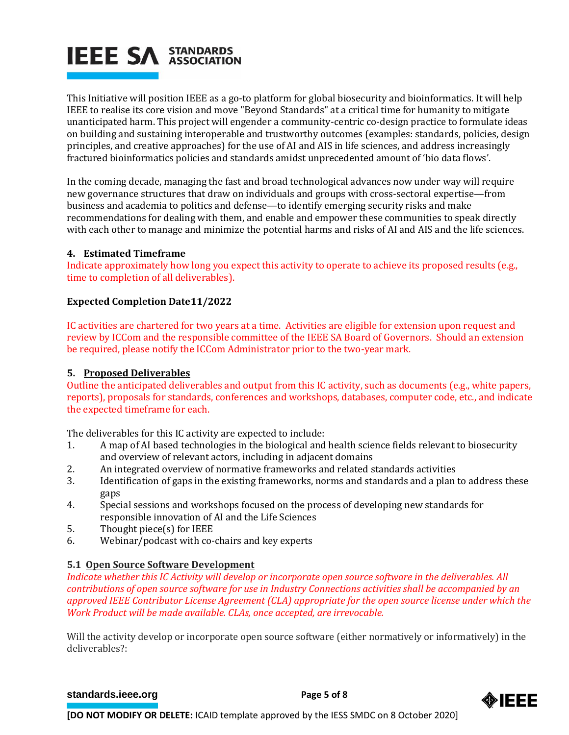This Initiative will position IEEE as a go-to platform for global biosecurity and bioinformatics. It will help IEEE to realise its core vision and move "Beyond Standards" at a critical time for humanity to mitigate unanticipated harm. This project will engender a community-centric co-design practice to formulate ideas on building and sustaining interoperable and trustworthy outcomes (examples: standards, policies, design principles, and creative approaches) for the use of AI and AIS in life sciences, and address increasingly fractured bioinformatics policies and standards amidst unprecedented amount of 'bio data flows'.

In the coming decade, managing the fast and broad technological advances now under way will require new governance structures that draw on individuals and groups with cross-sectoral expertise—from business and academia to politics and defense—to identify emerging security risks and make recommendations for dealing with them, and enable and empower these communities to speak directly with each other to manage and minimize the potential harms and risks of AI and AIS and the life sciences.

# **4. Estimated Timeframe**

Indicate approximately how long you expect this activity to operate to achieve its proposed results (e.g., time to completion of all deliverables).

# **Expected Completion Date11/2022**

IC activities are chartered for two years at a time. Activities are eligible for extension upon request and review by ICCom and the responsible committee of the IEEE SA Board of Governors. Should an extension be required, please notify the ICCom Administrator prior to the two-year mark.

# **5. Proposed Deliverables**

Outline the anticipated deliverables and output from this IC activity, such as documents (e.g., white papers, reports), proposals for standards, conferences and workshops, databases, computer code, etc., and indicate the expected timeframe for each.

The deliverables for this IC activity are expected to include:

- 1. A map of AI based technologies in the biological and health science fields relevant to biosecurity and overview of relevant actors, including in adjacent domains
- 2. An integrated overview of normative frameworks and related standards activities
- 3. Identification of gaps in the existing frameworks, norms and standards and a plan to address these gaps
- 4. Special sessions and workshops focused on the process of developing new standards for responsible innovation of AI and the Life Sciences
- 5. Thought piece(s) for IEEE
- 6. Webinar/podcast with co-chairs and key experts

# **5.1 Open Source Software Development**

*Indicate whether this IC Activity will develop or incorporate open source software in the deliverables. All contributions of open source software for use in Industry Connections activities shall be accompanied by an approved IEEE Contributor License Agreement (CLA) appropriate for the open source license under which the Work Product will be made available. CLAs, once accepted, are irrevocable.*

Will the activity develop or incorporate open source software (either normatively or informatively) in the deliverables?:

**[standards.ieee.org](http://standards.ieee.org/) EXECUTE: Page 5 of 8** 

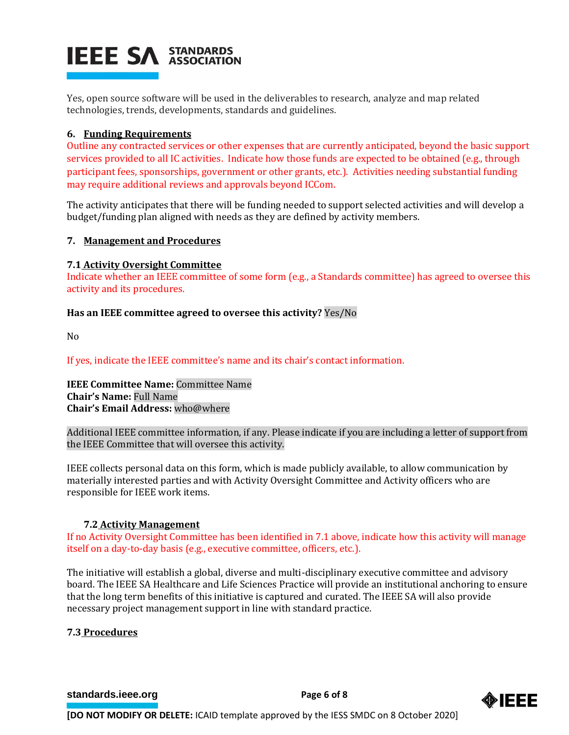Yes, open source software will be used in the deliverables to research, analyze and map related technologies, trends, developments, standards and guidelines.

## **6. Funding Requirements**

Outline any contracted services or other expenses that are currently anticipated, beyond the basic support services provided to all IC activities. Indicate how those funds are expected to be obtained (e.g., through participant fees, sponsorships, government or other grants, etc.). Activities needing substantial funding may require additional reviews and approvals beyond ICCom.

The activity anticipates that there will be funding needed to support selected activities and will develop a budget/funding plan aligned with needs as they are defined by activity members.

### **7. Management and Procedures**

### **7.1 Activity Oversight Committee**

Indicate whether an IEEE committee of some form (e.g., a Standards committee) has agreed to oversee this activity and its procedures.

### **Has an IEEE committee agreed to oversee this activity?** Yes/No

No

If yes, indicate the IEEE committee's name and its chair's contact information.

**IEEE Committee Name:** Committee Name **Chair's Name:** Full Name **Chair's Email Address:** who@where

Additional IEEE committee information, if any. Please indicate if you are including a letter of support from the IEEE Committee that will oversee this activity.

IEEE collects personal data on this form, which is made publicly available, to allow communication by materially interested parties and with Activity Oversight Committee and Activity officers who are responsible for IEEE work items.

### **7.2 Activity Management**

If no Activity Oversight Committee has been identified in 7.1 above, indicate how this activity will manage itself on a day-to-day basis (e.g., executive committee, officers, etc.).

The initiative will establish a global, diverse and multi-disciplinary executive committee and advisory board. The IEEE SA Healthcare and Life Sciences Practice will provide an institutional anchoring to ensure that the long term benefits of this initiative is captured and curated. The IEEE SA will also provide necessary project management support in line with standard practice.

### **7.3 Procedures**

**[standards.ieee.org](http://standards.ieee.org/)**<br> **Page 6** of 8

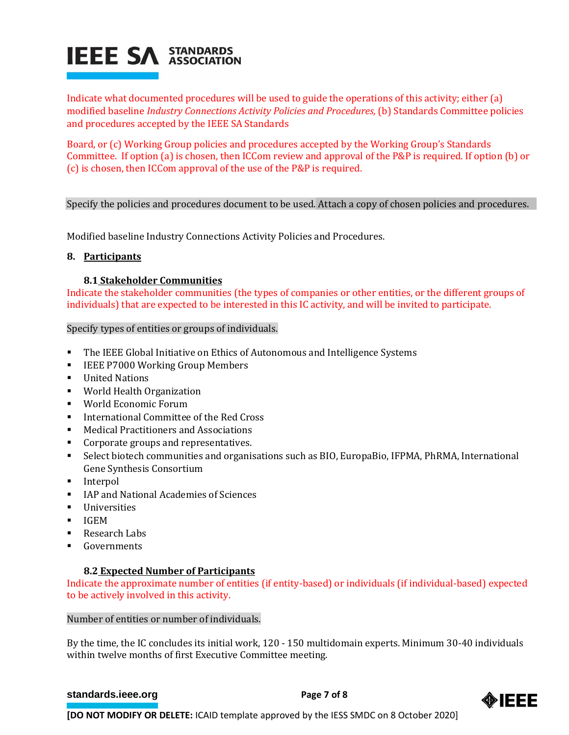

Indicate what documented procedures will be used to guide the operations of this activity; either (a) modified baseline *Industry Connections Activity Policies and Procedures,* (b) Standards Committee policies and procedures accepted by the IEEE SA Standards

Board, or (c) Working Group policies and procedures accepted by the Working Group's Standards Committee. If option (a) is chosen, then ICCom review and approval of the P&P is required. If option (b) or (c) is chosen, then ICCom approval of the use of the P&P is required.

### Specify the policies and procedures document to be used. Attach a copy of chosen policies and procedures.

Modified baseline Industry Connections Activity Policies and Procedures.

#### **8. Participants**

### **8.1 Stakeholder Communities**

Indicate the stakeholder communities (the types of companies or other entities, or the different groups of individuals) that are expected to be interested in this IC activity, and will be invited to participate.

#### Specify types of entities or groups of individuals.

- The IEEE Global Initiative on Ethics of Autonomous and Intelligence Systems
- **EXECUTE:** IEEE P7000 Working Group Members
- United Nations
- World Health Organization
- World Economic Forum
- International Committee of the Red Cross
- Medical Practitioners and Associations
- Corporate groups and representatives.
- Select biotech communities and organisations such as BIO, EuropaBio, IFPMA, PhRMA, International Gene Synthesis Consortium
- **Interpol**
- IAP and National Academies of Sciences
- **Universities**
- $I \cdot I \cdot \cdot I \cdot M$
- Research Labs
- **Governments**

### **8.2 Expected Number of Participants**

Indicate the approximate number of entities (if entity-based) or individuals (if individual-based) expected to be actively involved in this activity.

### Number of entities or number of individuals.

By the time, the IC concludes its initial work, 120 - 150 multidomain experts. Minimum 30-40 individuals within twelve months of first Executive Committee meeting.

#### **[standards.ieee.org](http://standards.ieee.org/)**<br> **Page 7 of 8**



**[DO NOT MODIFY OR DELETE:** ICAID template approved by the IESS SMDC on 8 October 2020]